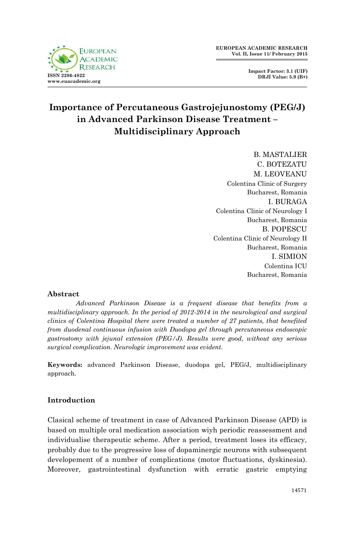

**Impact Factor: 3.1 (UIF) DRJI Value: 5.9 (B+)**

# **Importance of Percutaneous Gastrojejunostomy (PEG/J) in Advanced Parkinson Disease Treatment – Multidisciplinary Approach**

B. MASTALIER C. BOTEZATU M. LEOVEANU Colentina Clinic of Surgery Bucharest, Romania I. BURAGA Colentina Clinic of Neurology I Bucharest, Romania **B. POPESCU** Colentina Clinic of Neurology II Bucharest, Romania I. SIMION Colentina ICU Bucharest, Romania

### **Abstract**

*Advanced Parkinson Disease is a frequent disease that benefits from a multidisciplinary approach. In the period of 2012-2014 in the neurological and surgical clinics of Colentina Hospital there were treated a number of 27 patients, that benefited from duodenal continuous infusion with Duodopa gel through percutaneous endoscopic gastrostomy with jejunal extension (PEG/J). Results were good, without any serious surgical complication. Neurologic improvement was evident.*

**Keywords:** advanced Parkinson Disease, duodopa gel, PEG/J, multidisciplinary approach.

### **Introduction**

Clasical scheme of treatment in case of Advanced Parkinson Disease (APD) is based on multiple oral medication association wiyh periodic reassessment and individualise therapeutic scheme. After a period, treatment loses its efficacy, probably due to the progressive loss of dopaminergic neurons with subsequent developement of a number of complications (motor fluctuations, dyskinesia). Moreover, gastrointestinal dysfunction with erratic gastric emptying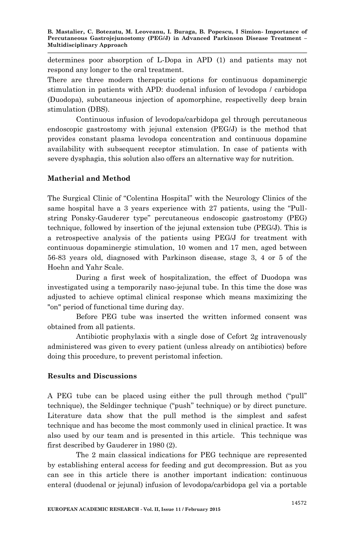determines poor absorption of L-Dopa in APD (1) and patients may not respond any longer to the oral treatment.

There are three modern therapeutic options for continuous dopaminergic stimulation in patients with APD: duodenal infusion of levodopa / carbidopa (Duodopa), subcutaneous injection of apomorphine, respectivelly deep brain stimulation (DBS).

Continuous infusion of levodopa/carbidopa gel through percutaneous endoscopic gastrostomy with jejunal extension (PEG/J) is the method that provides constant plasma levodopa concentration and continuous dopamine availability with subsequent receptor stimulation. In case of patients with severe dysphagia, this solution also offers an alternative way for nutrition.

## **Matherial and Method**

The Surgical Clinic of "Colentina Hospital" with the Neurology Clinics of the same hospital have a 3 years experience with  $27$  patients, using the "Pullstring Ponsky-Gauderer type" percutaneous endoscopic gastrostomy (PEG) technique, followed by insertion of the jejunal extension tube (PEG/J). This is a retrospective analysis of the patients using PEG/J for treatment with continuous dopaminergic stimulation, 10 women and 17 men, aged between 56-83 years old, diagnosed with Parkinson disease, stage 3, 4 or 5 of the Hoehn and Yahr Scale.

During a first week of hospitalization, the effect of Duodopa was investigated using a temporarily naso-jejunal tube. In this time the dose was adjusted to achieve optimal clinical response which means maximizing the "on" period of functional time during day.

Before PEG tube was inserted the written informed consent was obtained from all patients.

Antibiotic prophylaxis with a single dose of Cefort 2g intravenously administered was given to every patient (unless already on antibiotics) before doing this procedure, to prevent peristomal infection.

### **Results and Discussions**

A PEG tube can be placed using either the pull through method ("pull" technique), the Seldinger technique ("push" technique) or by direct puncture. Literature data show that the pull method is the simplest and safest technique and has become the most commonly used in clinical practice. It was also used by our team and is presented in this article. This technique was first described by Gauderer in 1980 (2).

The 2 main classical indications for PEG technique are represented by establishing enteral access for feeding and gut decompression. But as you can see in this article there is another important indication: continuous enteral (duodenal or jejunal) infusion of levodopa/carbidopa gel via a portable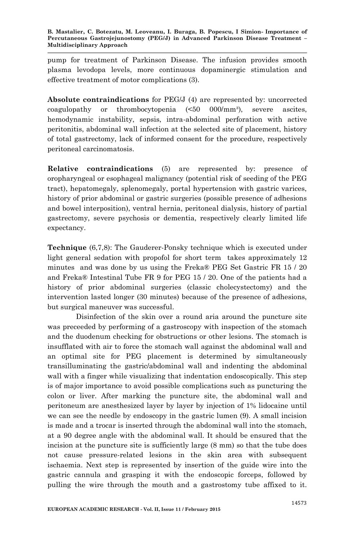pump for treatment of Parkinson Disease. The infusion provides smooth plasma levodopa levels, more continuous dopaminergic stimulation and effective treatment of motor complications (3).

**Absolute contraindications** for PEG/J (4) are represented by: uncorrected coagulopathy or thrombocytopenia  $\leq 50$  000/mm<sup>3</sup>), severe ascites, hemodynamic instability, sepsis, intra-abdominal perforation with active peritonitis, abdominal wall infection at the selected site of placement, history of total gastrectomy, lack of informed consent for the procedure, respectively peritoneal carcinomatosis.

**Relative contraindications** (5) are represented by: presence of oropharyngeal or esophageal malignancy (potential risk of seeding of the PEG tract), hepatomegaly, splenomegaly, portal hypertension with gastric varices, history of prior abdominal or gastric surgeries (possible presence of adhesions and bowel interposition), ventral hernia, peritoneal dialysis, history of partial gastrectomy, severe psychosis or dementia, respectively clearly limited life expectancy.

**Technique** (6,7,8): The Gauderer-Ponsky technique which is executed under light general sedation with propofol for short term takes approximately 12 minutes and was done by us using the Freka® PEG Set Gastric FR 15 / 20 and Freka® Intestinal Tube FR 9 for PEG 15 / 20. One of the patients had a history of prior abdominal surgeries (classic cholecystectomy) and the intervention lasted longer (30 minutes) because of the presence of adhesions, but surgical maneuver was successful.

Disinfection of the skin over a round aria around the puncture site was preceeded by performing of a gastroscopy with inspection of the stomach and the duodenum checking for obstructions or other lesions. The stomach is insufflated with air to force the stomach wall against the abdominal wall and an optimal site for PEG placement is determined by simultaneously transilluminating the gastric/abdominal wall and indenting the abdominal wall with a finger while visualizing that indentation endoscopically. This step is of major importance to avoid possible complications such as puncturing the colon or liver. After marking the puncture site, the abdominal wall and peritoneum are anesthesized layer by layer by injection of 1% lidocaine until we can see the needle by endoscopy in the gastric lumen (9). A small incision is made and a trocar is inserted through the abdominal wall into the stomach, at a 90 degree angle with the abdominal wall. It should be ensured that the incision at the puncture site is sufficiently large (8 mm) so that the tube does not cause pressure-related lesions in the skin area with subsequent ischaemia. Next step is represented by insertion of the guide wire into the gastric cannula and grasping it with the endoscopic forceps, followed by pulling the wire through the mouth and a gastrostomy tube affixed to it.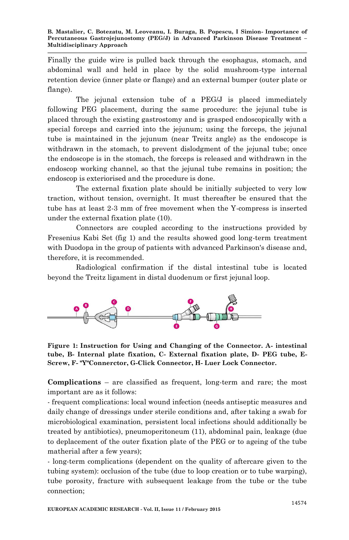Finally the guide wire is pulled back through the esophagus, stomach, and abdominal wall and held in place by the solid mushroom-type internal retention device (inner plate or flange) and an external bumper (outer plate or flange).

The jejunal extension tube of a PEG/J is placed immediately following PEG placement, during the same procedure: the jejunal tube is placed through the existing gastrostomy and is grasped endoscopically with a special forceps and carried into the jejunum; using the forceps, the jejunal tube is maintained in the jejunum (near Treitz angle) as the endoscope is withdrawn in the stomach, to prevent dislodement of the jejunal tube; once the endoscope is in the stomach, the forceps is released and withdrawn in the endoscop working channel, so that the jejunal tube remains in position; the endoscop is exteriorised and the procedure is done.

The external fixation plate should be initially subjected to very low traction, without tension, overnight. It must thereafter be ensured that the tube has at least 2-3 mm of free movement when the Y-compress is inserted under the external fixation plate (10).

Connectors are coupled according to the instructions provided by Fresenius Kabi Set (fig 1) and the results showed good long-term treatment with Duodopa in the group of patients with advanced Parkinson's disease and, therefore, it is recommended.

Radiological confirmation if the distal intestinal tube is located beyond the Treitz ligament in distal duodenum or first jejunal loop.



**Figure 1: Instruction for Using and Changing of the Connector. A- intestinal tube, B- Internal plate fixation, C- External fixation plate, D- PEG tube, E-Screw, F- "Y"Connerctor, G-Click Connector, H- Luer Lock Connector.**

**Complications** – are classified as frequent, long-term and rare; the most important are as it follows:

- frequent complications: local wound infection (needs antiseptic measures and daily change of dressings under sterile conditions and, after taking a swab for microbiological examination, persistent local infections should additionally be treated by antibiotics), pneumoperitoneum (11), abdominal pain, leakage (due to deplacement of the outer fixation plate of the PEG or to ageing of the tube matherial after a few years);

- long-term complications (dependent on the quality of aftercare given to the tubing system): occlusion of the tube (due to loop creation or to tube warping), tube porosity, fracture with subsequent leakage from the tube or the tube connection;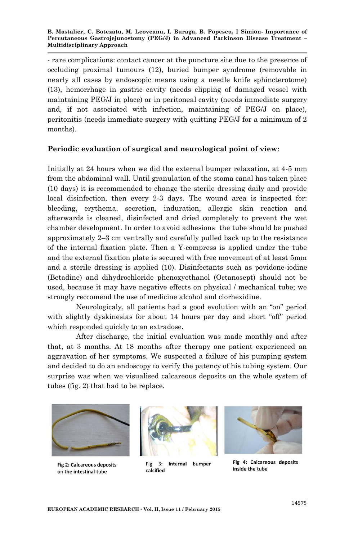- rare complications: contact cancer at the puncture site due to the presence of occluding proximal tumours (12), buried bumper syndrome (removable in nearly all cases by endoscopic means using a needle knife sphincterotome) (13), hemorrhage in gastric cavity (needs clipping of damaged vessel with maintaining PEG/J in place) or in peritoneal cavity (needs immediate surgery and, if not associated with infection, maintaining of PEG/J on place), peritonitis (needs immediate surgery with quitting PEG/J for a minimum of 2 months).

### **Periodic evaluation of surgical and neurological point of view**:

Initially at 24 hours when we did the external bumper relaxation, at 4-5 mm from the abdominal wall. Until granulation of the stoma canal has taken place (10 days) it is recommended to change the sterile dressing daily and provide local disinfection, then every 2-3 days. The wound area is inspected for: bleeding, erythema, secretion, induration, allergic skin reaction and afterwards is cleaned, disinfected and dried completely to prevent the wet chamber development. In order to avoid adhesions the tube should be pushed approximately 2–3 cm ventrally and carefully pulled back up to the resistance of the internal fixation plate. Then a Y-compress is applied under the tube and the external fixation plate is secured with free movement of at least 5mm and a sterile dressing is applied (10). Disinfectants such as povidone-iodine (Betadine) and dihydrochloride phenoxyethanol (Octanosept) should not be used, because it may have negative effects on physical / mechanical tube; we strongly reccomend the use of medicine alcohol and clorhexidine.

Neurologicaly, all patients had a good evolution with an "on" period with slightly dyskinesias for about 14 hours per day and short "off" period which responded quickly to an extradose.

After discharge, the initial evaluation was made monthly and after that, at 3 months. At 18 months after therapy one patient experienced an aggravation of her symptoms. We suspected a failure of his pumping system and decided to do an endoscopy to verify the patency of his tubing system. Our surprise was when we visualised calcareous deposits on the whole system of tubes (fig. 2) that had to be replace.



Fig 2: Calcareous deposits on the intestinal tube



Fig 3: Internal bumper calcified



Fig 4: Calcareous deposits inside the tube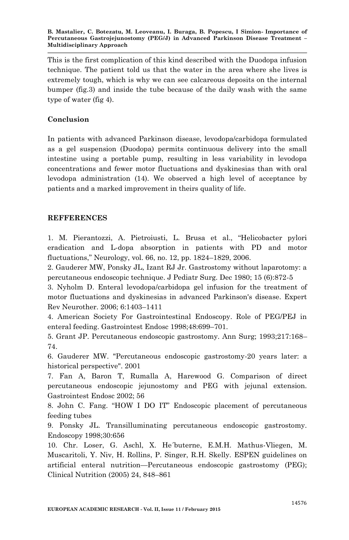**B. Mastalier, C. Botezatu, M. Leoveanu, I. Buraga, B. Popescu, I Simion- Importance of Percutaneous Gastrojejunostomy (PEG/J) in Advanced Parkinson Disease Treatment – Multidisciplinary Approach**

This is the first complication of this kind described with the Duodopa infusion technique. The patient told us that the water in the area where she lives is extremely tough, which is why we can see calcareous deposits on the internal bumper (fig.3) and inside the tube because of the daily wash with the same type of water (fig 4).

#### **Conclusion**

In patients with advanced Parkinson disease, levodopa/carbidopa formulated as a gel suspension (Duodopa) permits continuous delivery into the small intestine using a portable pump, resulting in less variability in levodopa concentrations and fewer motor fluctuations and dyskinesias than with oral levodopa administration (14). We observed a high level of acceptance by patients and a marked improvement in theirs quality of life.

#### **REFFERENCES**

1. M. Pierantozzi, A. Pietroiusti, L. Brusa et al., "Helicobacter pylori eradication and L-dopa absorption in patients with PD and motor fluctuations,‖ Neurology, vol. 66, no. 12, pp. 1824–1829, 2006.

2. Gauderer MW, Ponsky JL, Izant RJ Jr. Gastrostomy without laparotomy: a percutaneous endoscopic technique. J Pediatr Surg. Dec 1980; 15 (6):872-5

3. Nyholm D. Enteral levodopa/carbidopa gel infusion for the treatment of motor fluctuations and dyskinesias in advanced Parkinson's disease. Expert Rev Neurother. 2006; 6:1403–1411

4. American Society For Gastrointestinal Endoscopy. Role of PEG/PEJ in enteral feeding. Gastrointest Endosc 1998;48:699–701.

5. Grant JP. Percutaneous endoscopic gastrostomy. Ann Surg; 1993;217:168– 74.

6. Gauderer MW. "Percutaneous endoscopic gastrostomy-20 years later: a historical perspective". 2001

7. Fan A, Baron T, Rumalla A, Harewood G. Comparison of direct percutaneous endoscopic jejunostomy and PEG with jejunal extension. Gastrointest Endosc 2002; 56

8. John C. Fang. "HOW I DO IT" Endoscopic placement of percutaneous feeding tubes

9. Ponsky JL. Transilluminating percutaneous endoscopic gastrostomy. Endoscopy 1998;30:656

10. Chr. Loser, G. Aschl, X. He´buterne, E.M.H. Mathus-Vliegen, M. Muscaritoli, Y. Niv, H. Rollins, P. Singer, R.H. Skelly. ESPEN guidelines on artificial enteral nutrition—Percutaneous endoscopic gastrostomy (PEG); Clinical Nutrition (2005) 24, 848–861